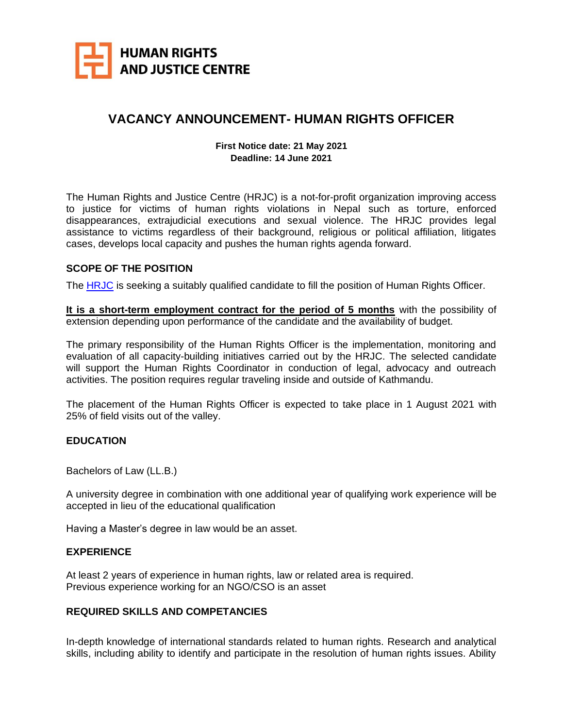

# **VACANCY ANNOUNCEMENT- HUMAN RIGHTS OFFICER**

#### **First Notice date: 21 May 2021 Deadline: 14 June 2021**

The Human Rights and Justice Centre (HRJC) is a not-for-profit organization improving access to justice for victims of human rights violations in Nepal such as torture, enforced disappearances, extrajudicial executions and sexual violence. The HRJC provides legal assistance to victims regardless of their background, religious or political affiliation, litigates cases, develops local capacity and pushes the human rights agenda forward.

## **SCOPE OF THE POSITION**

The [HRJC](http://hrjc.org.np/) is seeking a suitably qualified candidate to fill the position of Human Rights Officer.

**It is a short-term employment contract for the period of 5 months** with the possibility of extension depending upon performance of the candidate and the availability of budget.

The primary responsibility of the Human Rights Officer is the implementation, monitoring and evaluation of all capacity-building initiatives carried out by the HRJC. The selected candidate will support the Human Rights Coordinator in conduction of legal, advocacy and outreach activities. The position requires regular traveling inside and outside of Kathmandu.

The placement of the Human Rights Officer is expected to take place in 1 August 2021 with 25% of field visits out of the valley.

## **EDUCATION**

Bachelors of Law (LL.B.)

A university degree in combination with one additional year of qualifying work experience will be accepted in lieu of the educational qualification

Having a Master's degree in law would be an asset.

#### **EXPERIENCE**

At least 2 years of experience in human rights, law or related area is required. Previous experience working for an NGO/CSO is an asset

## **REQUIRED SKILLS AND COMPETANCIES**

In-depth knowledge of international standards related to human rights. Research and analytical skills, including ability to identify and participate in the resolution of human rights issues. Ability